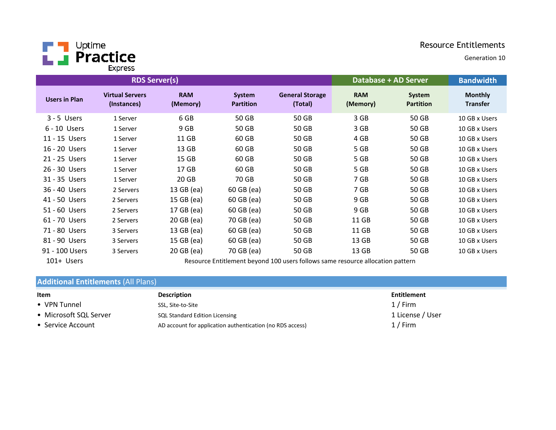

Generation 10

|                      | <b>RDS Server(s)</b>                  |                        | Database + AD Server              |                                   | <b>Bandwidth</b>       |                            |                                   |
|----------------------|---------------------------------------|------------------------|-----------------------------------|-----------------------------------|------------------------|----------------------------|-----------------------------------|
| <b>Users in Plan</b> | <b>Virtual Servers</b><br>(Instances) | <b>RAM</b><br>(Memory) | <b>System</b><br><b>Partition</b> | <b>General Storage</b><br>(Total) | <b>RAM</b><br>(Memory) | System<br><b>Partition</b> | <b>Monthly</b><br><b>Transfer</b> |
| $3 - 5$ Users        | 1 Server                              | 6 GB                   | 50 GB                             | 50 GB                             | 3 GB                   | 50 GB                      | 10 GB x Users                     |
| $6 - 10$ Users       | 1 Server                              | 9 GB                   | 50 GB                             | 50 GB                             | 3 GB                   | 50 GB                      | 10 GB x Users                     |
| 11 - 15 Users        | 1 Server                              | 11 GB                  | 60 GB                             | 50 GB                             | 4 GB                   | 50 GB                      | 10 GB x Users                     |
| 16 - 20 Users        | 1 Server                              | 13 GB                  | 60 GB                             | 50 GB                             | 5 GB                   | 50 GB                      | 10 GB x Users                     |
| 21 - 25 Users        | 1 Server                              | 15 <sub>GB</sub>       | 60 GB                             | 50 GB                             | 5 GB                   | 50 GB                      | 10 GB x Users                     |
| 26 - 30 Users        | 1 Server                              | 17 GB                  | 60 GB                             | 50 GB                             | 5 GB                   | 50 GB                      | 10 GB x Users                     |
| 31 - 35 Users        | 1 Server                              | 20 GB                  | 70 GB                             | 50 GB                             | 7 GB                   | 50 GB                      | 10 GB x Users                     |
| 36 - 40 Users        | 2 Servers                             | 13 GB (ea)             | 60 GB (ea)                        | 50 GB                             | 7 GB                   | 50 GB                      | 10 GB x Users                     |
| 41 - 50 Users        | 2 Servers                             | 15 GB (ea)             | 60 GB (ea)                        | 50 GB                             | 9 GB                   | 50 GB                      | 10 GB x Users                     |
| 51 - 60 Users        | 2 Servers                             | 17 GB (ea)             | 60 GB (ea)                        | 50 GB                             | 9 GB                   | 50 GB                      | 10 GB x Users                     |
| 61 - 70 Users        | 2 Servers                             | 20 GB (ea)             | 70 GB (ea)                        | 50 GB                             | 11 GB                  | 50 GB                      | 10 GB x Users                     |
| 71 - 80 Users        | 3 Servers                             | 13 GB (ea)             | 60 GB (ea)                        | 50 GB                             | 11 GB                  | 50 GB                      | 10 GB x Users                     |
| 81 - 90 Users        | 3 Servers                             | 15 GB (ea)             | 60 GB (ea)                        | 50 GB                             | 13 GB                  | 50 GB                      | 10 GB x Users                     |
| 91 - 100 Users       | 3 Servers                             | 20 GB (ea)             | 70 GB (ea)                        | 50 GB                             | 13 GB                  | 50 GB                      | 10 GB x Users                     |

101+ Users

Resource Entitlement beyond 100 users follows same resource allocation pattern

# Additional Entitlements (All Plans)

| Item                   | <b>Description</b>                                        | Entitlement      |
|------------------------|-----------------------------------------------------------|------------------|
| • VPN Tunnel           | SSL, Site-to-Site                                         | $1/$ Firm        |
| • Microsoft SQL Server | SQL Standard Edition Licensing                            | 1 License / User |
| • Service Account      | AD account for application authentication (no RDS access) | $1/$ Firm        |